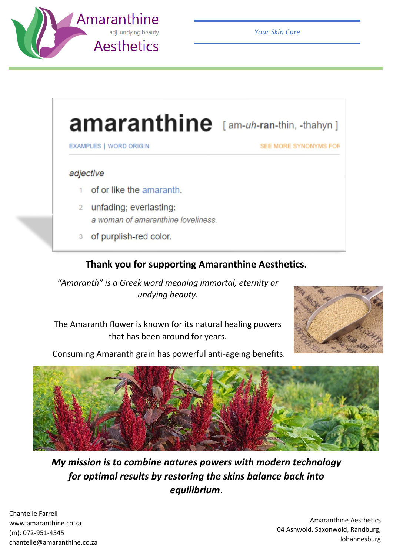

*Your Skin Care*

## amaranthine [am-uh-ran-thin, -thahyn]

**EXAMPLES | WORD ORIGIN** 

SEE MORE SYNONYMS FOR

## adjective

- 1 of or like the amaranth.
- 2 unfading; everlasting: a woman of amaranthine loveliness.
- 3 of purplish-red color.

## **Thank you for supporting Amaranthine Aesthetics.**

*"Amaranth" is a Greek word meaning immortal, eternity or undying beauty.*

The Amaranth flower is known for its natural healing powers that has been around for years.



Consuming Amaranth grain has powerful anti-ageing benefits.



*My mission is to combine natures powers with modern technology for optimal results by restoring the skins balance back into equilibrium*.

Chantelle Farrell www.amaranthine.co.za (m): 072-951-4545 chantelle@amaranthine.co.za

Amaranthine Aesthetics 04 Ashwold, Saxonwold, Randburg, Johannesburg